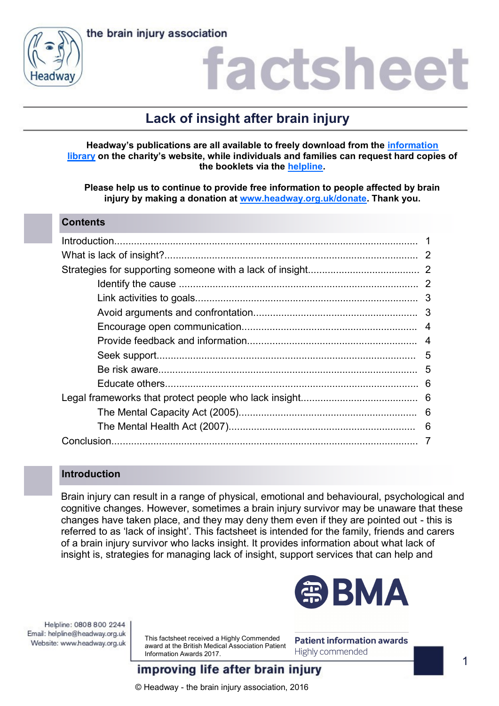



### iactshee

### **Lack of insight after brain injury**

**Headway's publications are all available to freely download from the [information](https://www.headway.org.uk/about-brain-injury/individuals/information-library/)  [library](https://www.headway.org.uk/about-brain-injury/individuals/information-library/) on the charity's website, while individuals and families can request hard copies of the booklets via the [helpline.](https://www.headway.org.uk/supporting-you/helpline/)**

**Please help us to continue to provide free information to people affected by brain injury by making a donation at [www.headway.org.uk/donate.](http://www.headway.org.uk/donate) Thank you.**

### **Contents**

### **Introduction**

Brain injury can result in a range of physical, emotional and behavioural, psychological and cognitive changes. However, sometimes a brain injury survivor may be unaware that these changes have taken place, and they may deny them even if they are pointed out - this is referred to as 'lack of insight'. This factsheet is intended for the family, friends and carers of a brain injury survivor who lacks insight. It provides information about what lack of insight is, strategies for managing lack of insight, support services that can help and



Helpline: 0808 800 2244 Email: helpline@headway.org.uk Website: www.headway.org.uk

This factsheet received a Highly Commended award at the British Medical Association Patient Information Awards 2017.

**Patient information awards** Highly commended

improving life after brain injury

© Headway - the brain injury association, 2016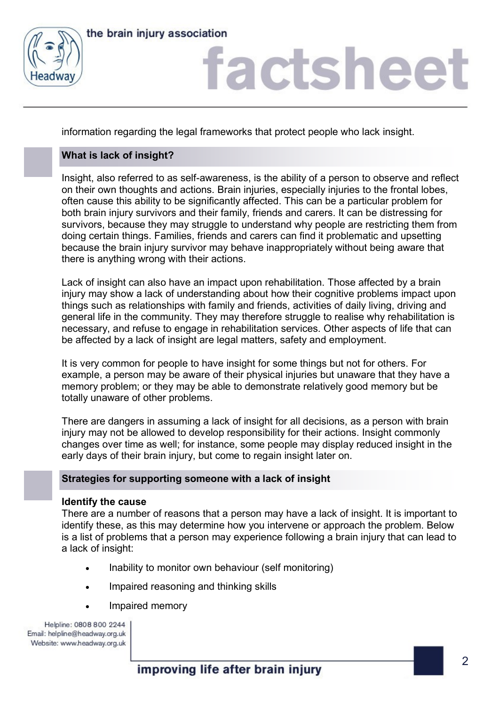



information regarding the legal frameworks that protect people who lack insight.

### **What is lack of insight?**

Insight, also referred to as self-awareness, is the ability of a person to observe and reflect on their own thoughts and actions. Brain injuries, especially injuries to the frontal lobes, often cause this ability to be significantly affected. This can be a particular problem for both brain injury survivors and their family, friends and carers. It can be distressing for survivors, because they may struggle to understand why people are restricting them from doing certain things. Families, friends and carers can find it problematic and upsetting because the brain injury survivor may behave inappropriately without being aware that there is anything wrong with their actions.

Lack of insight can also have an impact upon rehabilitation. Those affected by a brain injury may show a lack of understanding about how their cognitive problems impact upon things such as relationships with family and friends, activities of daily living, driving and general life in the community. They may therefore struggle to realise why rehabilitation is necessary, and refuse to engage in rehabilitation services. Other aspects of life that can be affected by a lack of insight are legal matters, safety and employment.

It is very common for people to have insight for some things but not for others. For example, a person may be aware of their physical injuries but unaware that they have a memory problem; or they may be able to demonstrate relatively good memory but be totally unaware of other problems.

There are dangers in assuming a lack of insight for all decisions, as a person with brain injury may not be allowed to develop responsibility for their actions. Insight commonly changes over time as well; for instance, some people may display reduced insight in the early days of their brain injury, but come to regain insight later on.

### **Strategies for supporting someone with a lack of insight**

### **Identify the cause**

There are a number of reasons that a person may have a lack of insight. It is important to identify these, as this may determine how you intervene or approach the problem. Below is a list of problems that a person may experience following a brain injury that can lead to a lack of insight:

- Inability to monitor own behaviour (self monitoring)
- Impaired reasoning and thinking skills
- Impaired memory

Helpline: 0808 800 2244 Email: helpline@headway.org.uk Website: www.headway.org.uk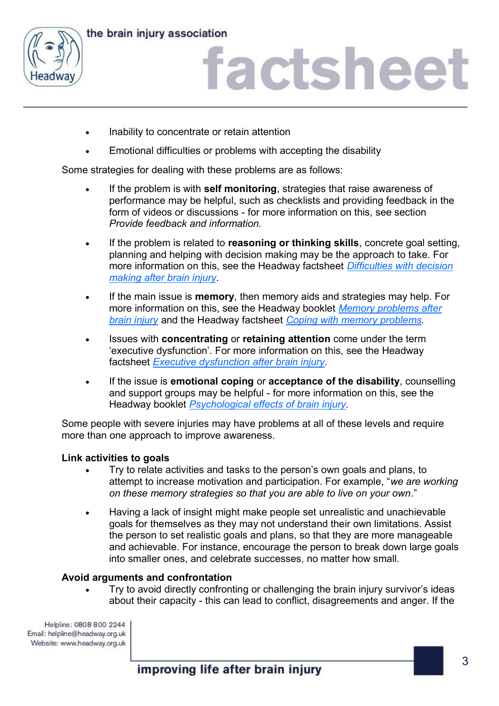



- Inability to concentrate or retain attention
- Emotional difficulties or problems with accepting the disability

Some strategies for dealing with these problems are as follows:

- If the problem is with **self monitoring**, strategies that raise awareness of performance may be helpful, such as checklists and providing feedback in the form of videos or discussions - for more information on this, see section *Provide feedback and information.*
- If the problem is related to **reasoning or thinking skills**, concrete goal setting, planning and helping with decision making may be the approach to take. For more information on this, see the Headway factsheet *[Difficulties with decision](https://www.headway.org.uk/media/2798/difficulties-with-decision-making-factsheet.pdf)  [making after brain injury.](https://www.headway.org.uk/media/2798/difficulties-with-decision-making-factsheet.pdf)*
- If the main issue is **memory**, then memory aids and strategies may help. For more information on this, see the Headway booklet *[Memory problems after](https://www.headway.org.uk/media/3996/memory-problems-after-brain-injury-e-booklet.pdf)  [brain injury](https://www.headway.org.uk/media/3996/memory-problems-after-brain-injury-e-booklet.pdf)* and the Headway factsheet *[Coping with memory problems.](https://www.headway.org.uk/media/2797/coping-with-memory-problems-practical-strategies-factsheet.pdf)*
- Issues with **concentrating** or **retaining attention** come under the term 'executive dysfunction'. For more information on this, see the Headway factsheet *[Executive dysfunction after brain injury.](https://www.headway.org.uk/media/2801/executive-dysfunction-after-brain-injury-factsheet.pdf)*
- If the issue is **emotional coping** or **acceptance of the disability**, counselling and support groups may be helpful - for more information on this, see the Headway booklet *[Psychological effects of brain injury.](https://www.headway.org.uk/media/3999/psychological-effects-of-brain-injury-e-booklet.pdf)*

Some people with severe injuries may have problems at all of these levels and require more than one approach to improve awareness.

### **Link activities to goals**

- Try to relate activities and tasks to the person's own goals and plans, to attempt to increase motivation and participation. For example, "*we are working on these memory strategies so that you are able to live on your own*."
- Having a lack of insight might make people set unrealistic and unachievable goals for themselves as they may not understand their own limitations. Assist the person to set realistic goals and plans, so that they are more manageable and achievable. For instance, encourage the person to break down large goals into smaller ones, and celebrate successes, no matter how small.

### **Avoid arguments and confrontation**

 Try to avoid directly confronting or challenging the brain injury survivor's ideas about their capacity - this can lead to conflict, disagreements and anger. If the

Helpline: 0808 800 2244 Email: helpline@headway.org.uk Website: www.headway.org.uk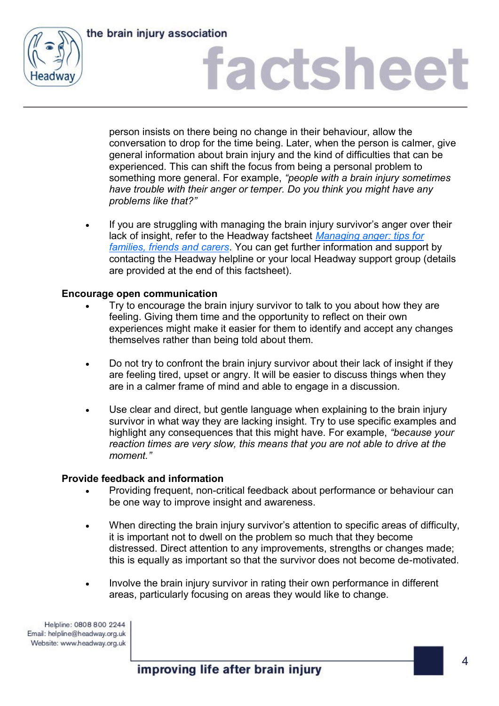



person insists on there being no change in their behaviour, allow the conversation to drop for the time being. Later, when the person is calmer, give general information about brain injury and the kind of difficulties that can be experienced. This can shift the focus from being a personal problem to something more general. For example, *"people with a brain injury sometimes have trouble with their anger or temper. Do you think you might have any problems like that?"*

 If you are struggling with managing the brain injury survivor's anger over their lack of insight, refer to the Headway factsheet *[Managing anger: tips for](https://www.headway.org.uk/media/2810/managing-anger-tips-for-families-friends-and-carers-factsheet.pdf)  [families, friends and carers](https://www.headway.org.uk/media/2810/managing-anger-tips-for-families-friends-and-carers-factsheet.pdf)*. You can get further information and support by contacting the Headway helpline or your local Headway support group (details are provided at the end of this factsheet).

### **Encourage open communication**

- Try to encourage the brain injury survivor to talk to you about how they are feeling. Giving them time and the opportunity to reflect on their own experiences might make it easier for them to identify and accept any changes themselves rather than being told about them.
- Do not try to confront the brain injury survivor about their lack of insight if they are feeling tired, upset or angry. It will be easier to discuss things when they are in a calmer frame of mind and able to engage in a discussion.
- Use clear and direct, but gentle language when explaining to the brain injury survivor in what way they are lacking insight. Try to use specific examples and highlight any consequences that this might have. For example, *"because your reaction times are very slow, this means that you are not able to drive at the moment."*

### **Provide feedback and information**

- Providing frequent, non-critical feedback about performance or behaviour can be one way to improve insight and awareness.
- When directing the brain injury survivor's attention to specific areas of difficulty, it is important not to dwell on the problem so much that they become distressed. Direct attention to any improvements, strengths or changes made; this is equally as important so that the survivor does not become de-motivated.
- Involve the brain injury survivor in rating their own performance in different areas, particularly focusing on areas they would like to change.

Helpline: 0808 800 2244 Email: helpline@headway.org.uk Website: www.headway.org.uk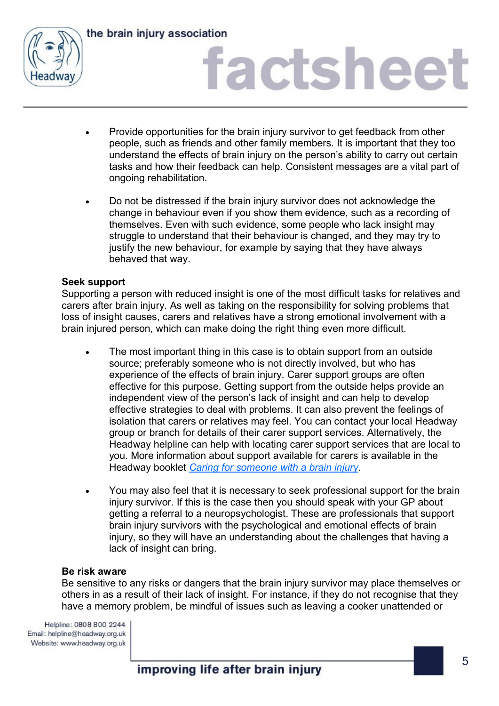

the brain injury association

### factsheet

- Provide opportunities for the brain injury survivor to get feedback from other people, such as friends and other family members. It is important that they too understand the effects of brain injury on the person's ability to carry out certain tasks and how their feedback can help. Consistent messages are a vital part of ongoing rehabilitation.
- Do not be distressed if the brain injury survivor does not acknowledge the change in behaviour even if you show them evidence, such as a recording of themselves. Even with such evidence, some people who lack insight may struggle to understand that their behaviour is changed, and they may try to justify the new behaviour, for example by saying that they have always behaved that way.

### **Seek support**

Supporting a person with reduced insight is one of the most difficult tasks for relatives and carers after brain injury. As well as taking on the responsibility for solving problems that loss of insight causes, carers and relatives have a strong emotional involvement with a brain injured person, which can make doing the right thing even more difficult.

- The most important thing in this case is to obtain support from an outside source; preferably someone who is not directly involved, but who has experience of the effects of brain injury. Carer support groups are often effective for this purpose. Getting support from the outside helps provide an independent view of the person's lack of insight and can help to develop effective strategies to deal with problems. It can also prevent the feelings of isolation that carers or relatives may feel. You can contact your local Headway group or branch for details of their carer support services. Alternatively, the Headway helpline can help with locating carer support services that are local to you. More information about support available for carers is available in the Headway booklet *[Caring for someone with a brain injury.](https://www.headway.org.uk/media/3989/caring-for-someone-with-a-brain-injury-e-booklet.pdf)*
- You may also feel that it is necessary to seek professional support for the brain injury survivor. If this is the case then you should speak with your GP about getting a referral to a neuropsychologist. These are professionals that support brain injury survivors with the psychological and emotional effects of brain injury, so they will have an understanding about the challenges that having a lack of insight can bring.

### **Be risk aware**

Be sensitive to any risks or dangers that the brain injury survivor may place themselves or others in as a result of their lack of insight. For instance, if they do not recognise that they have a memory problem, be mindful of issues such as leaving a cooker unattended or

Helpline: 0808 800 2244 Email: helpline@headway.org.uk Website: www.headway.org.uk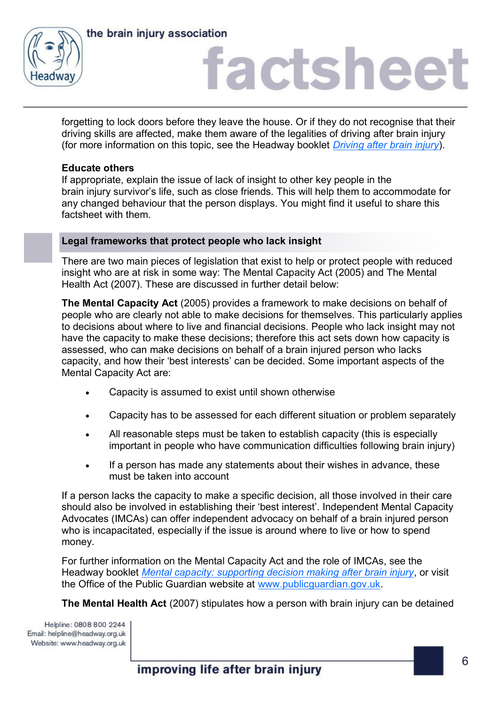

the brain injury association

### factsheet

forgetting to lock doors before they leave the house. Or if they do not recognise that their driving skills are affected, make them aware of the legalities of driving after brain injury (for more information on this topic, see the Headway booklet *[Driving after brain injury](https://www.headway.org.uk/media/3992/driving-after-brain-injury-e-booklet.pdf)*).

### **Educate others**

If appropriate, explain the issue of lack of insight to other key people in the brain injury survivor's life, such as close friends. This will help them to accommodate for any changed behaviour that the person displays. You might find it useful to share this factsheet with them.

### **Legal frameworks that protect people who lack insight**

There are two main pieces of legislation that exist to help or protect people with reduced insight who are at risk in some way: The Mental Capacity Act (2005) and The Mental Health Act (2007). These are discussed in further detail below:

**The Mental Capacity Act** (2005) provides a framework to make decisions on behalf of people who are clearly not able to make decisions for themselves. This particularly applies to decisions about where to live and financial decisions. People who lack insight may not have the capacity to make these decisions; therefore this act sets down how capacity is assessed, who can make decisions on behalf of a brain injured person who lacks capacity, and how their 'best interests' can be decided. Some important aspects of the Mental Capacity Act are:

- Capacity is assumed to exist until shown otherwise
- Capacity has to be assessed for each different situation or problem separately
- All reasonable steps must be taken to establish capacity (this is especially important in people who have communication difficulties following brain injury)
- If a person has made any statements about their wishes in advance, these must be taken into account

If a person lacks the capacity to make a specific decision, all those involved in their care should also be involved in establishing their 'best interest'. Independent Mental Capacity Advocates (IMCAs) can offer independent advocacy on behalf of a brain injured person who is incapacitated, especially if the issue is around where to live or how to spend money.

For further information on the Mental Capacity Act and the role of IMCAs, see the Headway booklet *[Mental capacity: supporting decision making after brain injury](https://www.headway.org.uk/media/4108/mental-capacity-supporting-decision-making-after-brain-injury-e-booklet.pdf)*, or visit the Office of the Public Guardian website at [www.publicguardian.gov.uk.](http://www.publicguardian.gov.uk)

**The Mental Health Act** (2007) stipulates how a person with brain injury can be detained

Helpline: 0808 800 2244 Email: helpline@headway.org.uk Website: www.headway.org.uk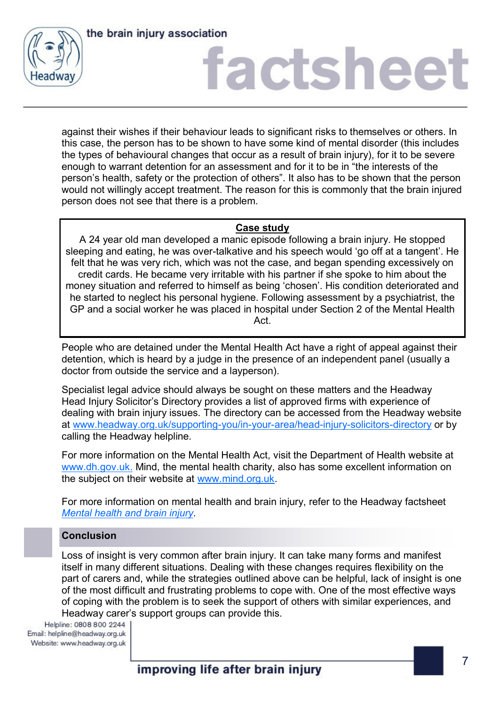



against their wishes if their behaviour leads to significant risks to themselves or others. In this case, the person has to be shown to have some kind of mental disorder (this includes the types of behavioural changes that occur as a result of brain injury), for it to be severe enough to warrant detention for an assessment and for it to be in "the interests of the person's health, safety or the protection of others". It also has to be shown that the person would not willingly accept treatment. The reason for this is commonly that the brain injured person does not see that there is a problem.

### **Case study**

A 24 year old man developed a manic episode following a brain injury. He stopped sleeping and eating, he was over-talkative and his speech would 'go off at a tangent'. He felt that he was very rich, which was not the case, and began spending excessively on credit cards. He became very irritable with his partner if she spoke to him about the money situation and referred to himself as being 'chosen'. His condition deteriorated and he started to neglect his personal hygiene. Following assessment by a psychiatrist, the GP and a social worker he was placed in hospital under Section 2 of the Mental Health Act.

People who are detained under the Mental Health Act have a right of appeal against their detention, which is heard by a judge in the presence of an independent panel (usually a doctor from outside the service and a layperson).

Specialist legal advice should always be sought on these matters and the Headway Head Injury Solicitor's Directory provides a list of approved firms with experience of dealing with brain injury issues. The directory can be accessed from the Headway website at [www.headway.org.uk/supporting-you/in-your-area/head-injury-solicitors-directory](https://www.headway.org.uk/supporting-you/in-your-area/head-injury-solicitors-directory/) or by calling the Headway helpline.

For more information on the Mental Health Act, visit the Department of Health website at [www.dh.gov.uk.](https://www.gov.uk/government/organisations/department-of-health) Mind, the mental health charity, also has some excellent information on the subject on their website at [www.mind.org.uk.](http://www.mind.org.uk)

For more information on mental health and brain injury, refer to the Headway factsheet *[Mental health and brain injury.](https://www.headway.org.uk/media/4051/mental-health-and-brain-injury-factsheet.pdf)*

### **Conclusion**

Loss of insight is very common after brain injury. It can take many forms and manifest itself in many different situations. Dealing with these changes requires flexibility on the part of carers and, while the strategies outlined above can be helpful, lack of insight is one of the most difficult and frustrating problems to cope with. One of the most effective ways of coping with the problem is to seek the support of others with similar experiences, and Headway carer's support groups can provide this.<br>Helpline: 0808 800 2244 |

Email: helpline@headway.org.uk Website: www.headway.org.uk